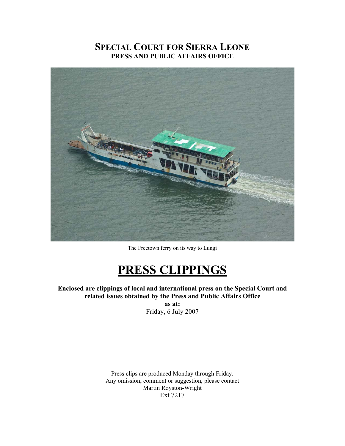### **SPECIAL COURT FOR SIERRA LEONE PRESS AND PUBLIC AFFAIRS OFFICE**



The Freetown ferry on its way to Lungi

# **PRESS CLIPPINGS**

**Enclosed are clippings of local and international press on the Special Court and related issues obtained by the Press and Public Affairs Office as at:** 

Friday, 6 July 2007

Press clips are produced Monday through Friday. Any omission, comment or suggestion, please contact Martin Royston-Wright Ext 7217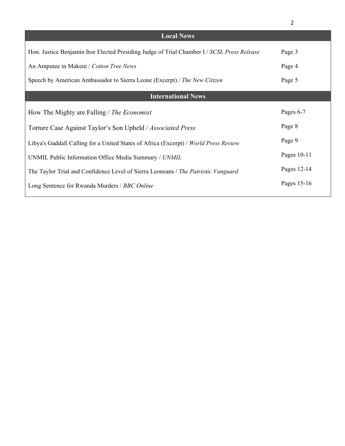|                                                                                            | $\overline{2}$ |
|--------------------------------------------------------------------------------------------|----------------|
| <b>Local News</b>                                                                          |                |
| Hon. Justice Benjamin Itoe Elected Presiding Judge of Trial Chamber I / SCSL Press Release | Page 3         |
| An Amputee in Makeni / Cotton Tree News                                                    | Page 4         |
| Speech by American Ambassador to Sierra Leone (Excerpt) / The New Citizen                  | Page 5         |
| <b>International News</b>                                                                  |                |
| How The Mighty are Falling / The Economist                                                 | Pages 6-7      |
| Torture Case Against Taylor's Son Upheld / Associated Press                                | Page 8         |
| Libya's Gaddafi Calling for a United States of Africa (Excerpt) / World Press Review       | Page 9         |
| UNMIL Public Information Office Media Summary / UNMIL                                      | Pages 10-11    |
| The Taylor Trial and Confidence Level of Sierra Leoneans / The Patriotic Vanguard          | Pages 12-14    |
| Long Sentence for Rwanda Murders / BBC Online                                              | Pages 15-16    |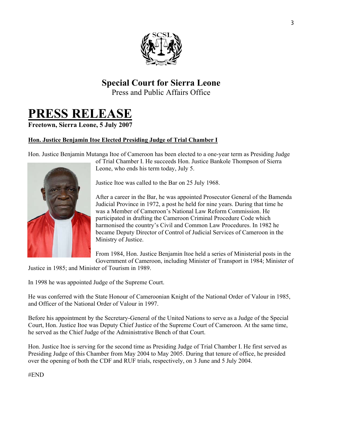

## **Special Court for Sierra Leone**

Press and Public Affairs Office

# **PRESS RELEASE**

### **Freetown, Sierra Leone, 5 July 2007**

### **Hon. Justice Benjamin Itoe Elected Presiding Judge of Trial Chamber I**

Hon. Justice Benjamin Mutanga Itoe of Cameroon has been elected to a one-year term as Presiding Judge



of Trial Chamber I. He succeeds Hon. Justice Bankole Thompson of Sierra Leone, who ends his term today, July 5.

Justice Itoe was called to the Bar on 25 July 1968.

After a career in the Bar, he was appointed Prosecutor General of the Bamenda Judicial Province in 1972, a post he held for nine years. During that time he was a Member of Cameroon's National Law Reform Commission. He participated in drafting the Cameroon Criminal Procedure Code which harmonised the country's Civil and Common Law Procedures. In 1982 he became Deputy Director of Control of Judicial Services of Cameroon in the Ministry of Justice.

From 1984, Hon. Justice Benjamin Itoe held a series of Ministerial posts in the Government of Cameroon, including Minister of Transport in 1984; Minister of

Justice in 1985; and Minister of Tourism in 1989.

In 1998 he was appointed Judge of the Supreme Court.

He was conferred with the State Honour of Cameroonian Knight of the National Order of Valour in 1985, and Officer of the National Order of Valour in 1997.

Before his appointment by the Secretary-General of the United Nations to serve as a Judge of the Special Court, Hon. Justice Itoe was Deputy Chief Justice of the Supreme Court of Cameroon. At the same time, he served as the Chief Judge of the Administrative Bench of that Court.

Hon. Justice Itoe is serving for the second time as Presiding Judge of Trial Chamber I. He first served as Presiding Judge of this Chamber from May 2004 to May 2005. During that tenure of office, he presided over the opening of both the CDF and RUF trials, respectively, on 3 June and 5 July 2004.

#END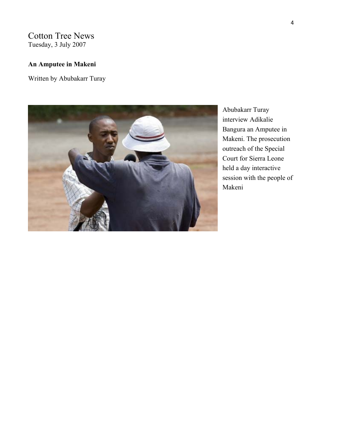Cotton Tree News Tuesday, 3 July 2007

### **An Amputee in Makeni**

Written by Abubakarr Turay



Abubakarr Turay interview Adikalie Bangura an Amputee in Makeni. The prosecution outreach of the Special Court for Sierra Leone held a day interactive session with the people of Makeni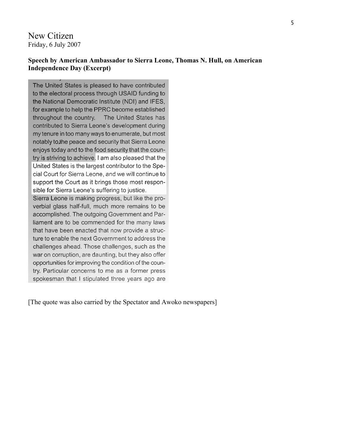New Citizen Friday, 6 July 2007

#### **Speech by American Ambassador to Sierra Leone, Thomas N. Hull, on American Independence Day (Excerpt)**

The United States is pleased to have contributed to the electoral process through USAID funding to the National Democratic Institute (NDI) and IFES, for example to help the PPRC become established throughout the country. The United States has contributed to Sierra Leone's development during my tenure in too many ways to enumerate, but most notably to the peace and security that Sierra Leone enjoys today and to the food security that the country is striving to achieve. I am also pleased that the United States is the largest contributor to the Special Court for Sierra Leone, and we will continue to support the Court as it brings those most responsible for Sierra Leone's suffering to justice. Sierra Leone is making progress, but like the proverbial glass half-full, much more remains to be accomplished. The outgoing Government and Parliament are to be commended for the many laws that have been enacted that now provide a structure to enable the next Government to address the challenges ahead. Those challenges, such as the war on corruption, are daunting, but they also offer opportunities for improving the condition of the country. Particular concerns to me as a former press spokesman that I stipulated three years ago are

[The quote was also carried by the Spectator and Awoko newspapers]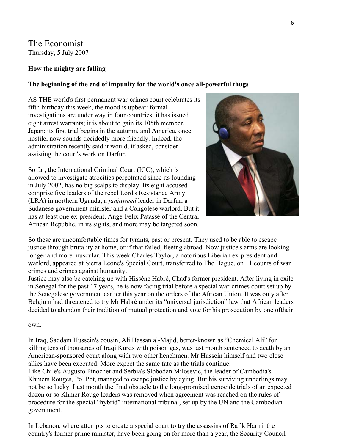### The Economist Thursday, 5 July 2007

### **How the mighty are falling**

#### **The beginning of the end of impunity for the world's once all-powerful thugs**

AS THE world's first permanent war-crimes court celebrates i ts fifth birthday this week, the mood is upbeat: formal investigations are under way in four countries; it has issued eight arrest warrants; it is about to gain its 105th member, Japan; its first trial begins in the autumn, and America, once hostile, now sounds decidedly more friendly. Indeed, the administration recently said it would, if asked, consider assisting the court's work on Darfur.

So far, the International Criminal Court (ICC), which is allowed to investigate atrocities perpetrated since its founding in July 2002, has no big scalps to display. Its eight accused comprise five leaders of the rebel Lord's Resistance Army (LRA) in northern Uganda, a *janjaweed* leader in Darfur, a Sudanese government minister and a Congolese warlord. But it has at least one ex-president, Ange-Félix Patassé of the Central African Republic, in its sights, and more may be targeted soon.



So these are uncomfortable times for tyrants, past or present. They used to be able to escape justice through brutality at home, or if that failed, fleeing abroad. Now justice's arms are looking longer and more muscular. This week Charles Taylor, a notorious Liberian ex-president and warlord, appeared at Sierra Leone's Special Court, transferred to The Hague, on 11 counts of war crimes and crimes against humanity.

Justice may also be catching up with Hissène Habré, Chad's former president. After living in exile in Senegal for the past 17 years, he is now facing trial before a special war-crimes court set up by the Senegalese government earlier this year on the orders of the African Union. It was only after Belgium had threatened to try Mr Habré under its "universal jurisdiction" law that African leaders decided to abandon their tradition of mutual protection and vote for his prosecution by one oftheir

own.

In Iraq, Saddam Hussein's cousin, Ali Hassan al-Majid, better-known as "Chemical Ali" for killing tens of thousands of Iraqi Kurds with poison gas, was last month sentenced to death by an American-sponsored court along with two other henchmen. Mr Hussein himself and two close allies have been executed. More expect the same fate as the trials continue. Like Chile's Augusto Pinochet and Serbia's Slobodan Milosevic, the leader of Cambodia's

Khmers Rouges, Pol Pot, managed to escape justice by dying. But his surviving underlings may not be so lucky. Last month the final obstacle to the long-promised genocide trials of an expected dozen or so Khmer Rouge leaders was removed when agreement was reached on the rules of procedure for the special "hybrid" international tribunal, set up by the UN and the Cambodian government.

In Lebanon, where attempts to create a special court to try the assassins of Rafik Hariri, the country's former prime minister, have been going on for more than a year, the Security Council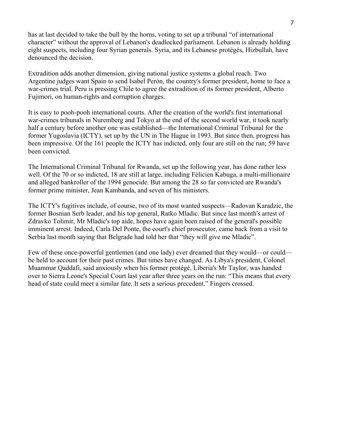has at last decided to take the bull by the horns, voting to set up a tribunal "of international character" without the approval of Lebanon's deadlocked parliament. Lebanon is already holding eight suspects, including four Syrian generals. Syria, and its Lebanese protégés, Hizbullah, have denounced the decision.

Extradition adds another dimension, giving national justice systems a global reach. Two Argentine judges want Spain to send Isabel Perón, the country's former president, home to face a war-crimes trial. Peru is pressing Chile to agree the extradition of its former president, Alberto Fujimori, on human-rights and corruption charges.

It is easy to pooh-pooh international courts. After the creation of the world's first international war-crimes tribunals in Nuremberg and Tokyo at the end of the second world war, it took nearly half a century before another one was established—the International Criminal Tribunal for the former Yugoslavia (ICTY), set up by the UN in The Hague in 1993. But since then, progress has been impressive. Of the 161 people the ICTY has indicted, only four are still on the run; 59 have been convicted.

The International Criminal Tribunal for Rwanda, set up the following year, has done rather less well. Of the 70 or so indicted, 18 are still at large, including Félicien Kabuga, a multi-millionaire and alleged bankroller of the 1994 genocide. But among the 28 so far convicted are Rwanda's former prime minister, Jean Kambanda, and seven of his ministers.

The ICTY's fugitives include, of course, two of its most wanted suspects—Radovan Karadzic, the former Bosnian Serb leader, and his top general, Ratko Mladic. But since last month's arrest of Zdravko Tolimir, Mr Mladic's top aide, hopes have again been raised of the general's possible imminent arrest. Indeed, Carla Del Ponte, the court's chief prosecutor, came back from a visit to Serbia last month saying that Belgrade had told her that "they will give me Mladic".

Few of these once-powerful gentlemen (and one lady) ever dreamed that they would—or could be held to account for their past crimes. But times have changed. As Libya's president, Colonel Muammar Qaddafi, said anxiously when his former protégé, Liberia's Mr Taylor, was handed over to Sierra Leone's Special Court last year after three years on the run: "This means that every head of state could meet a similar fate. It sets a serious precedent." Fingers crossed.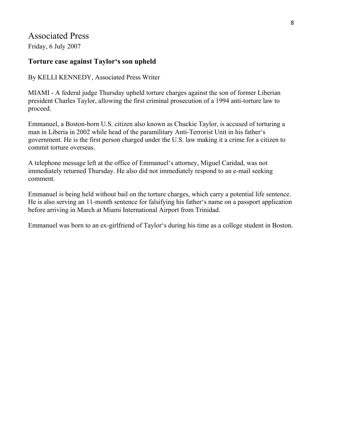### Associated Press

Friday, 6 July 2007

### **Torture case against Taylor's son upheld**

By KELLI KENNEDY, Associated Press Writer

MIAMI - A federal judge Thursday upheld torture charges against the son of former Liberian president Charles Taylor, allowing the first criminal prosecution of a 1994 anti-torture law to proceed.

Emmanuel, a Boston-born U.S. citizen also known as Chuckie Taylor, is accused of torturing a man in Liberia in 2002 while head of the paramilitary Anti-Terrorist Unit in his father's government. He is the first person charged under the U.S. law making it a crime for a citizen to commit torture overseas.

A telephone message left at the office of Emmanuel's attorney, Miguel Caridad, was not immediately returned Thursday. He also did not immediately respond to an e-mail seeking comment.

Emmanuel is being held without bail on the torture charges, which carry a potential life sentence. He is also serving an 11-month sentence for falsifying his father's name on a passport application before arriving in March at Miami International Airport from Trinidad.

Emmanuel was born to an ex-girlfriend of Taylor's during his time as a college student in Boston.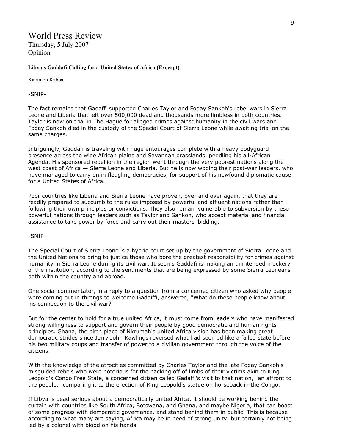### World Press Review Thursday, 5 July 2007

Opinion

#### **Libya's Gaddafi Calling for a United States of Africa (Excerpt)**

Karamoh Kabba

-SNIP-

The fact remains that Gadaffi supported Charles Taylor and Foday Sankoh's rebel wars in Sierra Leone and Liberia that left over 500,000 dead and thousands more limbless in both countries. Taylor is now on trial in The Hague for alleged crimes against humanity in the civil wars and Foday Sankoh died in the custody of the Special Court of Sierra Leone while awaiting trial on the same charges.

Intriguingly, Gaddafi is traveling with huge entourages complete with a heavy bodyguard presence across the wide African plains and Savannah grasslands, peddling his all-African Agenda. His sponsored rebellion in the region went through the very poorest nations along the west coast of Africa — Sierra Leone and Liberia. But he is now wooing their post-war leaders, who have managed to carry on in fledgling democracies, for support of his newfound diplomatic cause for a United States of Africa.

Poor countries like Liberia and Sierra Leone have proven, over and over again, that they are readily prepared to succumb to the rules imposed by powerful and affluent nations rather than following their own principles or convictions. They also remain vulnerable to subversion by these powerful nations through leaders such as Taylor and Sankoh, who accept material and financial assistance to take power by force and carry out their masters' bidding.

-SNIP-

The Special Court of Sierra Leone is a hybrid court set up by the government of Sierra Leone and the United Nations to bring to justice those who bore the greatest responsibility for crimes against humanity in Sierra Leone during its civil war. It seems Gaddafi is making an unintended mockery of the institution, according to the sentiments that are being expressed by some Sierra Leoneans both within the country and abroad.

One social commentator, in a reply to a question from a concerned citizen who asked why people were coming out in throngs to welcome Gaddiffi, answered, "What do these people know about his connection to the civil war?"

But for the center to hold for a true united Africa, it must come from leaders who have manifested strong willingness to support and govern their people by good democratic and human rights principles. Ghana, the birth place of Nkrumah's united Africa vision has been making great democratic strides since Jerry John Rawlings reversed what had seemed like a failed state before his two military coups and transfer of power to a civilian government through the voice of the citizens.

With the knowledge of the atrocities committed by Charles Taylor and the late Foday Sankoh's misguided rebels who were notorious for the hacking off of limbs of their victims akin to King Leopold's Congo Free State, a concerned citizen called Gadaffi's visit to that nation, "an affront to the people," comparing it to the erection of King Leopold's statue on horseback in the Congo.

If Libya is dead serious about a democratically united Africa, it should be working behind the curtain with countries like South Africa, Botswana, and Ghana, and maybe Nigeria, that can boast of some progress with democratic governance, and stand behind them in public. This is because according to what many are saying, Africa may be in need of strong unity, but certainly not being led by a colonel with blood on his hands.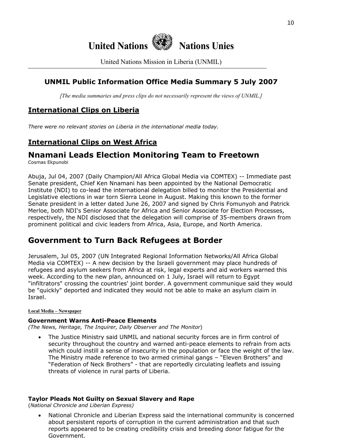

United Nations Mission in Liberia (UNMIL)

### **UNMIL Public Information Office Media Summary 5 July 2007**

*[The media summaries and press clips do not necessarily represent the views of UNMIL.]*

### **International Clips on Liberia**

*There were no relevant stories on Liberia in the international media today.*

### **International Clips on West Africa**

### **Nnamani Leads Election Monitoring Team to Freetown**

Cosmas Ekpunobi

Abuja, Jul 04, 2007 (Daily Champion/All Africa Global Media via COMTEX) -- Immediate past Senate president, Chief Ken Nnamani has been appointed by the National Democratic Institute (NDI) to co-lead the international delegation billed to monitor the Presidential and Legislative elections in war torn Sierra Leone in August. Making this known to the former Senate president in a letter dated June 26, 2007 and signed by Chris Fomunyoh and Patrick Merloe, both NDI's Senior Associate for Africa and Senior Associate for Election Processes, respectively, the NDI disclosed that the delegation will comprise of 35-members drawn from prominent political and civic leaders from Africa, Asia, Europe, and North America.

### **Government to Turn Back Refugees at Border**

Jerusalem, Jul 05, 2007 (UN Integrated Regional Information Networks/All Africa Global Media via COMTEX) -- A new decision by the Israeli government may place hundreds of refugees and asylum seekers from Africa at risk, legal experts and aid workers warned this week. According to the new plan, announced on 1 July, Israel will return to Egypt "infiltrators" crossing the countries' joint border. A government communique said they would be "quickly" deported and indicated they would not be able to make an asylum claim in Israel.

#### **Local Media – Newspaper**

#### **Government Warns Anti-Peace Elements**

*(The News, Heritage, The Inquirer, Daily Observer and The Monitor*)

• The Justice Ministry said UNMIL and national security forces are in firm control of security throughout the country and warned anti-peace elements to refrain from acts which could instill a sense of insecurity in the population or face the weight of the law. The Ministry made reference to two armed criminal gangs – "Eleven Brothers" and "Federation of Neck Brothers" - that are reportedly circulating leaflets and issuing threats of violence in rural parts of Liberia.

#### **Taylor Pleads Not Guilty on Sexual Slavery and Rape**

(*National Chronicle and Liberian Express)* 

• National Chronicle and Liberian Express said the international community is concerned about persistent reports of corruption in the current administration and that such reports appeared to be creating credibility crisis and breeding donor fatigue for the Government.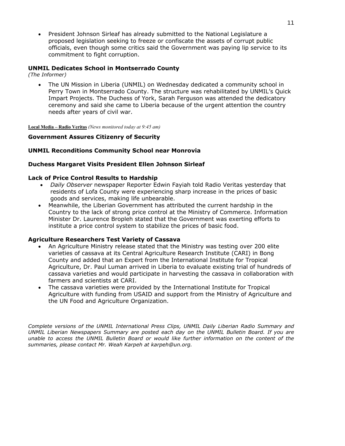• President Johnson Sirleaf has already submitted to the National Legislature a proposed legislation seeking to freeze or confiscate the assets of corrupt public officials, even though some critics said the Government was paying lip service to its commitment to fight corruption.

#### **UNMIL Dedicates School in Montserrado County**

*(The Informer)* 

• The UN Mission in Liberia (UNMIL) on Wednesday dedicated a community school in Perry Town in Montserrado County. The structure was rehabilitated by UNMIL's Quick Impart Projects. The Duchess of York, Sarah Ferguson was attended the dedicatory ceremony and said she came to Liberia because of the urgent attention the country needs after years of civil war.

**Local Media – Radio Veritas** *(News monitored today at 9:45 am)*

#### **Government Assures Citizenry of Security**

#### **UNMIL Reconditions Community School near Monrovia**

#### **Duchess Margaret Visits President Ellen Johnson Sirleaf**

#### **Lack of Price Control Results to Hardship**

- *Daily Observer* newspaper Reporter Edwin Fayiah told Radio Veritas yesterday that residents of Lofa County were experiencing sharp increase in the prices of basic goods and services, making life unbearable.
- Meanwhile, the Liberian Government has attributed the current hardship in the Country to the lack of strong price control at the Ministry of Commerce. Information Minister Dr. Laurence Bropleh stated that the Government was exerting efforts to institute a price control system to stabilize the prices of basic food.

#### **Agriculture Researchers Test Variety of Cassava**

- An Agriculture Ministry release stated that the Ministry was testing over 200 elite varieties of cassava at its Central Agriculture Research Institute (CARI) in Bong County and added that an Expert from the International Institute for Tropical Agriculture, Dr. Paul Luman arrived in Liberia to evaluate existing trial of hundreds of cassava varieties and would participate in harvesting the cassava in collaboration with farmers and scientists at CARI.
- The cassava varieties were provided by the International Institute for Tropical Agriculture with funding from USAID and support from the Ministry of Agriculture and the UN Food and Agriculture Organization.

*Complete versions of the UNMIL International Press Clips, UNMIL Daily Liberian Radio Summary and UNMIL Liberian Newspapers Summary are posted each day on the UNMIL Bulletin Board. If you are unable to access the UNMIL Bulletin Board or would like further information on the content of the summaries, please contact Mr. Weah Karpeh at karpeh@un.org.*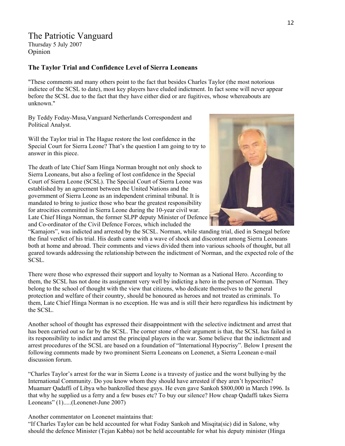### The Patriotic Vanguard

Thursday 5 July 2007 Opinion

#### **The Taylor Trial and Confidence Level of Sierra Leoneans**

"These comments and many others point to the fact that besides Charles Taylor (the most notorious indictee of the SCSL to date), most key players have eluded indictment. In fact some will never appear before the SCSL due to the fact that they have either died or are fugitives, whose whereabouts are unknown."

By Teddy Foday-Musa,Vanguard Netherlands Correspondent and Political Analyst.

Will the Taylor trial in The Hague restore the lost confidence in the Special Court for Sierra Leone? That's the question I am going to try to answer in this piece.

The death of late Chief Sam Hinga Norman brought not only shock to Sierra Leoneans, but also a feeling of lost confidence in the Special Court of Sierra Leone (SCSL). The Special Court of Sierra Leone was established by an agreement between the United Nations and the government of Sierra Leone as an independent criminal tribunal. It is mandated to bring to justice those who bear the greatest responsibility for atrocities committed in Sierra Leone during the 10-year civil war. Late Chief Hinga Norman, the former SLPP deputy Minister of Defence and Co-ordinator of the Civil Defence Forces, which included the



"Kamajors", was indicted and arrested by the SCSL. Norman, while standing trial, died in Senegal before the final verdict of his trial. His death came with a wave of shock and discontent among Sierra Leoneans both at home and abroad. Their comments and views divided them into various schools of thought, but all geared towards addressing the relationship between the indictment of Norman, and the expected role of the SCSL.

There were those who expressed their support and loyalty to Norman as a National Hero. According to them, the SCSL has not done its assignment very well by indicting a hero in the person of Norman. They belong to the school of thought with the view that citizens, who dedicate themselves to the general protection and welfare of their country, should be honoured as heroes and not treated as criminals. To them, Late Chief Hinga Norman is no exception. He was and is still their hero regardless his indictment by the SCSL.

Another school of thought has expressed their disappointment with the selective indictment and arrest that has been carried out so far by the SCSL. The corner stone of their argument is that, the SCSL has failed in its responsibility to indict and arrest the principal players in the war. Some believe that the indictment and arrest procedures of the SCSL are based on a foundation of "International Hypocrisy". Below I present the following comments made by two prominent Sierra Leoneans on Leonenet, a Sierra Leonean e-mail discussion forum.

"Charles Taylor's arrest for the war in Sierra Leone is a travesty of justice and the worst bullying by the International Community. Do you know whom they should have arrested if they aren't hypocrites? Muamarr Qadaffi of Libya who bankrolled these guys. He even gave Sankoh \$800,000 in March 1996. Is that why he supplied us a ferry and a few buses etc? To buy our silence? How cheap Qadaffi takes Sierra Leoneans" (1).....(Leonenet-June 2007)

Another commentator on Leonenet maintains that:

"If Charles Taylor can be held accounted for what Foday Sankoh and Misqita(sic) did in Salone, why should the defence Minister (Tejan Kabba) not be held accountable for what his deputy minister (Hinga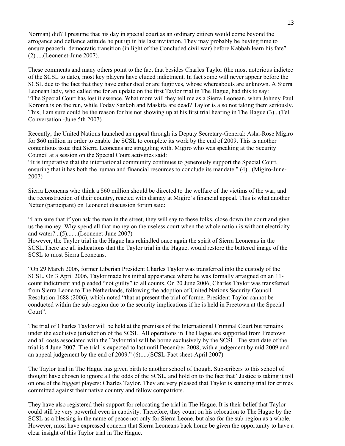Norman) did? I presume that his day in special court as an ordinary citizen would come beyond the arrogance and defiance attitude he put up in his last invitation. They may probably be buying time to ensure peaceful democratic transition (in light of the Concluded civil war) before Kabbah learn his fate" (2).....(Leonenet-June 2007).

These comments and many others point to the fact that besides Charles Taylor (the most notorious indictee of the SCSL to date), most key players have eluded indictment. In fact some will never appear before the SCSL due to the fact that they have either died or are fugitives, whose whereabouts are unknown. A Sierra Leonean lady, who called me for an update on the first Taylor trial in The Hague, had this to say: "The Special Court has lost it essence. What more will they tell me as a Sierra Leonean, when Johnny Paul Koroma is on the run, while Foday Sankoh and Maskita are dead? Taylor is also not taking them seriously. This, I am sure could be the reason for his not showing up at his first trial hearing in The Hague (3)...(Tel. Conversation.-June 5th 2007)

Recently, the United Nations launched an appeal through its Deputy Secretary-General: Asha-Rose Migiro for \$60 million in order to enable the SCSL to complete its work by the end of 2009. This is another contentious issue that Sierra Leoneans are struggling with. Migiro who was speaking at the Security Council at a session on the Special Court activities said:

"It is imperative that the international community continues to generously support the Special Court, ensuring that it has both the human and financial resources to conclude its mandate." (4)...(Migiro-June-2007)

Sierra Leoneans who think a \$60 million should be directed to the welfare of the victims of the war, and the reconstruction of their country, reacted with dismay at Migiro's financial appeal. This is what another Netter (participant) on Leonenet discussion forum said:

"I am sure that if you ask the man in the street, they will say to these folks, close down the court and give us the money. Why spend all that money on the useless court when the whole nation is without electricity and water?...(5).......(Leonenet-June 2007)

However, the Taylor trial in the Hague has rekindled once again the spirit of Sierra Leoneans in the SCSL.There are all indications that the Taylor trial in the Hague, would restore the battered image of the SCSL to most Sierra Leoneans.

"On 29 March 2006, former Liberian President Charles Taylor was transferred into the custody of the SCSL. On 3 April 2006, Taylor made his initial appearance where he was formally arraigned on an 11 count indictment and pleaded "not guilty" to all counts. On 20 June 2006, Charles Taylor was transferred from Sierra Leone to The Netherlands, following the adoption of United Nations Security Council Resolution 1688 (2006), which noted "that at present the trial of former President Taylor cannot be conducted within the sub-region due to the security implications if he is held in Freetown at the Special Court".

The trial of Charles Taylor will be held at the premises of the International Criminal Court but remains under the exclusive jurisdiction of the SCSL. All operations in The Hague are supported from Freetown and all costs associated with the Taylor trial will be borne exclusively by the SCSL. The start date of the trial is 4 June 2007. The trial is expected to last until December 2008, with a judgement by mid 2009 and an appeal judgement by the end of 2009." (6).....(SCSL-Fact sheet-April 2007)

The Taylor trial in The Hague has given birth to another school of though. Subscribers to this school of thought have chosen to ignore all the odds of the SCSL, and hold on to the fact that "Justice is taking it toll on one of the biggest players: Charles Taylor. They are very pleased that Taylor is standing trial for crimes committed against their native country and fellow compatriots.

They have also registered their support for relocating the trial in The Hague. It is their belief that Taylor could still be very powerful even in captivity. Therefore, they count on his relocation to The Hague by the SCSL as a blessing in the name of peace not only for Sierra Leone, but also for the sub-region as a whole. However, most have expressed concern that Sierra Leoneans back home be given the opportunity to have a clear insight of this Taylor trial in The Hague.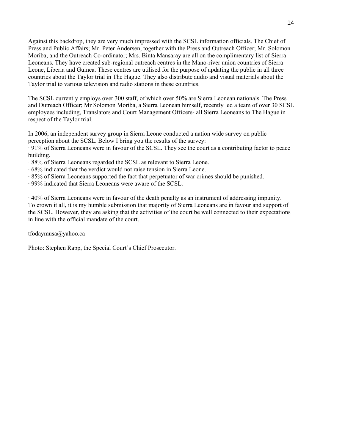Against this backdrop, they are very much impressed with the SCSL information officials. The Chief of Press and Public Affairs; Mr. Peter Andersen, together with the Press and Outreach Officer; Mr. Solomon Moriba, and the Outreach Co-ordinator; Mrs. Binta Mansaray are all on the complimentary list of Sierra Leoneans. They have created sub-regional outreach centres in the Mano-river union countries of Sierra Leone, Liberia and Guinea. These centres are utilised for the purpose of updating the public in all three countries about the Taylor trial in The Hague. They also distribute audio and visual materials about the Taylor trial to various television and radio stations in these countries.

The SCSL currently employs over 300 staff, of which over 50% are Sierra Leonean nationals. The Press and Outreach Officer; Mr Solomon Moriba, a Sierra Leonean himself, recently led a team of over 30 SCSL employees including, Translators and Court Management Officers- all Sierra Leoneans to The Hague in respect of the Taylor trial.

In 2006, an independent survey group in Sierra Leone conducted a nation wide survey on public perception about the SCSL. Below I bring you the results of the survey:

· 91% of Sierra Leoneans were in favour of the SCSL. They see the court as a contributing factor to peace building.

- · 88% of Sierra Leoneans regarded the SCSL as relevant to Sierra Leone.
- · 68% indicated that the verdict would not raise tension in Sierra Leone.
- · 85% of Sierra Leoneans supported the fact that perpetuator of war crimes should be punished.
- · 99% indicated that Sierra Leoneans were aware of the SCSL.

· 40% of Sierra Leoneans were in favour of the death penalty as an instrument of addressing impunity. To crown it all, it is my humble submission that majority of Sierra Leoneans are in favour and support of the SCSL. However, they are asking that the activities of the court be well connected to their expectations in line with the official mandate of the court.

[tfodaymusa@yahoo.ca](mailto:tfodaymusa@yahoo.ca)

Photo: Stephen Rapp, the Special Court's Chief Prosecutor.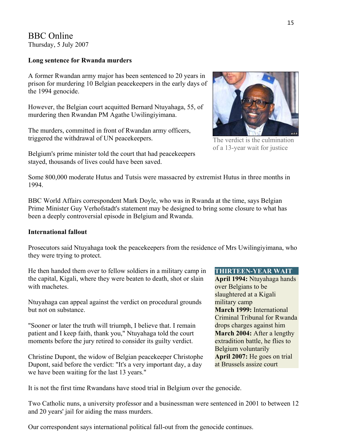### BBC Online Thursday, 5 July 2007

#### **Long sentence for Rwanda murders**

A former Rwandan army major has been sentenced to 20 years in prison for murdering 10 Belgian peacekeepers in the early days of the 1994 genocide.

However, the Belgian court acquitted Bernard Ntuyahaga, 55, of murdering then Rwandan PM Agathe Uwilingiyimana.

The murders, committed in front of Rwandan army officers, triggered the withdrawal of UN peacekeepers.

Belgium's prime minister told the court that had peacekeepers stayed, thousands of lives could have been saved.



The verdict is the culmination of a 13-year wait for justice

Some 800,000 moderate Hutus and Tutsis were massacred by extremist Hutus in three months in 1994.

BBC World Affairs correspondent Mark Doyle, who was in Rwanda at the time, says Belgian Prime Minister Guy Verhofstadt's statement may be designed to bring some closure to what has been a deeply controversial episode in Belgium and Rwanda.

### **International fallout**

Prosecutors said Ntuyahaga took the peacekeepers from the residence of Mrs Uwilingiyimana, who they were trying to protect.

He then handed them over to fellow soldiers in a military camp in the capital, Kigali, where they were beaten to death, shot or slain with machetes.

Ntuyahaga can appeal against the verdict on procedural grounds but not on substance.

"Sooner or later the truth will triumph, I believe that. I remain patient and I keep faith, thank you," Ntuyahaga told the court moments before the jury retired to consider its guilty verdict.

Christine Dupont, the widow of Belgian peacekeeper Christophe Dupont, said before the verdict: "It's a very important day, a day we have been waiting for the last 13 years."

### **THIRTEEN-YEAR WAIT**

**April 1994:** Ntuyahaga hands over Belgians to be slaughtered at a Kigali military camp **March 1999:** International Criminal Tribunal for Rwanda drops charges against him **March 2004:** After a lengthy extradition battle, he flies to Belgium voluntarily **April 2007:** He goes on trial at Brussels assize court

It is not the first time Rwandans have stood trial in Belgium over the genocide.

Two Catholic nuns, a university professor and a businessman were sentenced in 2001 to between 12 and 20 years' jail for aiding the mass murders.

Our correspondent says international political fall-out from the genocide continues.